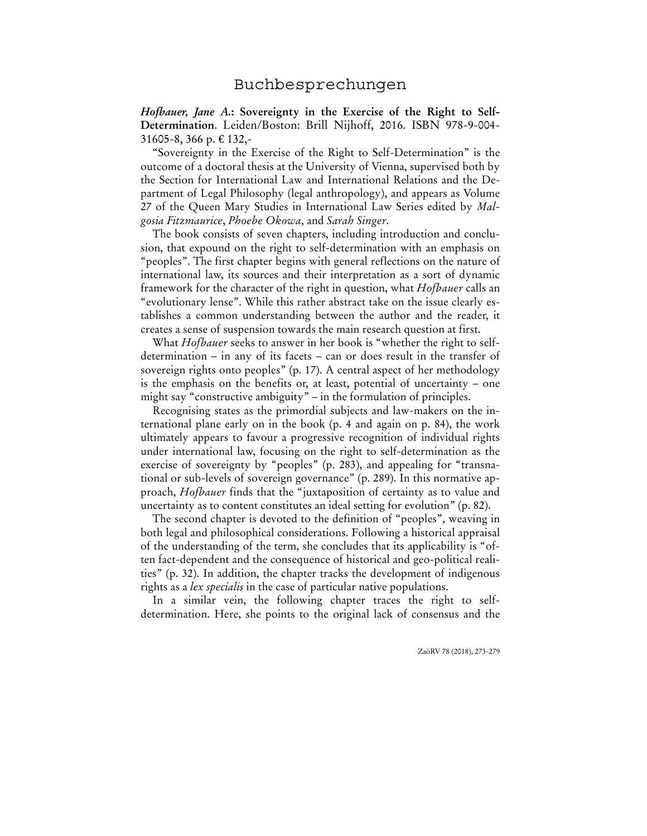*Hofbauer, Jane A.***: Sovereignty in the Exercise of the Right to Self-Determination**. Leiden/Boston: Brill Nijhoff, 2016. ISBN 978-9-004- 31605-8, 366 p. € 132,-

"Sovereignty in the Exercise of the Right to Self-Determination" is the outcome of a doctoral thesis at the University of Vienna, supervised both by the Section for International Law and International Relations and the Department of Legal Philosophy (legal anthropology), and appears as Volume 27 of the Queen Mary Studies in International Law Series edited by *Malgosia Fitzmaurice*, *Phoebe Okowa*, and *Sarah Singer*.

The book consists of seven chapters, including introduction and conclusion, that expound on the right to self-determination with an emphasis on "peoples". The first chapter begins with general reflections on the nature of international law, its sources and their interpretation as a sort of dynamic framework for the character of the right in question, what *Hofbauer* calls an "evolutionary lense". While this rather abstract take on the issue clearly establishes a common understanding between the author and the reader, it creates a sense of suspension towards the main research question at first.

What *Hofbauer* seeks to answer in her book is "whether the right to selfdetermination – in any of its facets – can or does result in the transfer of sovereign rights onto peoples" (p. 17). A central aspect of her methodology is the emphasis on the benefits or, at least, potential of uncertainty – one might say "constructive ambiguity" – in the formulation of principles.

Recognising states as the primordial subjects and law-makers on the international plane early on in the book (p. 4 and again on p. 84), the work ultimately appears to favour a progressive recognition of individual rights under international law, focusing on the right to self-determination as the exercise of sovereignty by "peoples" (p. 283), and appealing for "transnational or sub-levels of sovereign governance" (p. 289). In this normative approach, *Hofbauer* finds that the "juxtaposition of certainty as to value and uncertainty as to content constitutes an ideal setting for evolution" (p. 82).

The second chapter is devoted to the definition of "peoples", weaving in both legal and philosophical considerations. Following a historical appraisal of the understanding of the term, she concludes that its applicability is "often fact-dependent and the consequence of historical and geo-political realities" (p. 32). In addition, the chapter tracks the development of indigenous rights as a *lex specialis* in the case of particular native populations.

In a similar vein, the following chapter traces the right to selfdetermination. Here, she points to the original lack of consensus and the

ZaöRV 78 (2018), 273-279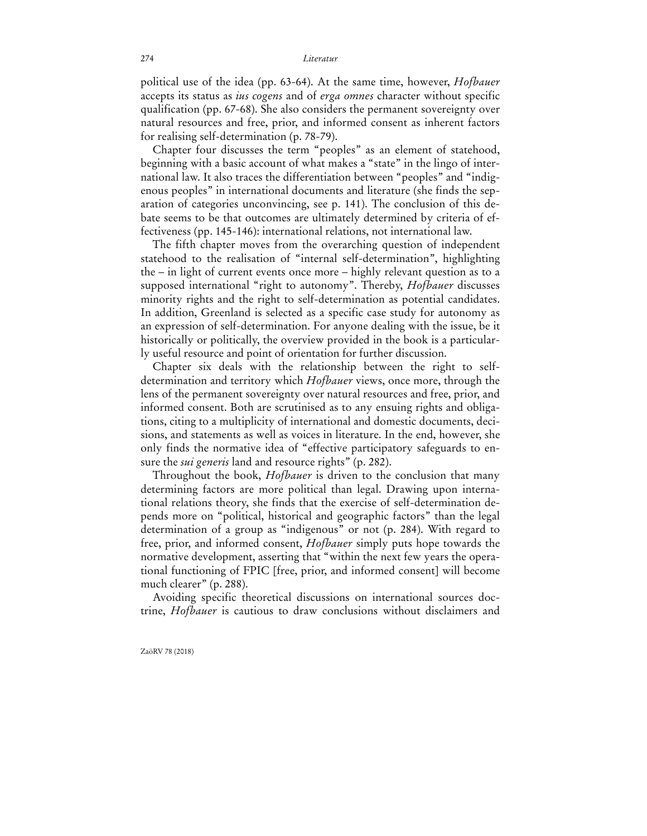## 274 *Literatur*

political use of the idea (pp. 63-64). At the same time, however, *Hofbauer* accepts its status as *ius cogens* and of *erga omnes* character without specific qualification (pp. 67-68). She also considers the permanent sovereignty over natural resources and free, prior, and informed consent as inherent factors for realising self-determination (p. 78-79).

Chapter four discusses the term "peoples" as an element of statehood, beginning with a basic account of what makes a "state" in the lingo of international law. It also traces the differentiation between "peoples" and "indigenous peoples" in international documents and literature (she finds the separation of categories unconvincing, see p. 141). The conclusion of this debate seems to be that outcomes are ultimately determined by criteria of effectiveness (pp. 145-146): international relations, not international law.

The fifth chapter moves from the overarching question of independent statehood to the realisation of "internal self-determination", highlighting the – in light of current events once more – highly relevant question as to a supposed international "right to autonomy". Thereby, *Hofbauer* discusses minority rights and the right to self-determination as potential candidates. In addition, Greenland is selected as a specific case study for autonomy as an expression of self-determination. For anyone dealing with the issue, be it historically or politically, the overview provided in the book is a particularly useful resource and point of orientation for further discussion.

Chapter six deals with the relationship between the right to selfdetermination and territory which *Hofbauer* views, once more, through the lens of the permanent sovereignty over natural resources and free, prior, and informed consent. Both are scrutinised as to any ensuing rights and obligations, citing to a multiplicity of international and domestic documents, decisions, and statements as well as voices in literature. In the end, however, she only finds the normative idea of "effective participatory safeguards to ensure the *sui generis* land and resource rights" (p. 282).

Throughout the book, *Hofbauer* is driven to the conclusion that many determining factors are more political than legal. Drawing upon international relations theory, she finds that the exercise of self-determination depends more on "political, historical and geographic factors" than the legal determination of a group as "indigenous" or not (p. 284). With regard to free, prior, and informed consent, *Hofbauer* simply puts hope towards the normative development, asserting that "within the next few years the operational functioning of FPIC [free, prior, and informed consent] will become much clearer" (p. 288).

Avoiding specific theoretical discussions on international sources doctrine, *Hofbauer* is cautious to draw conclusions without disclaimers and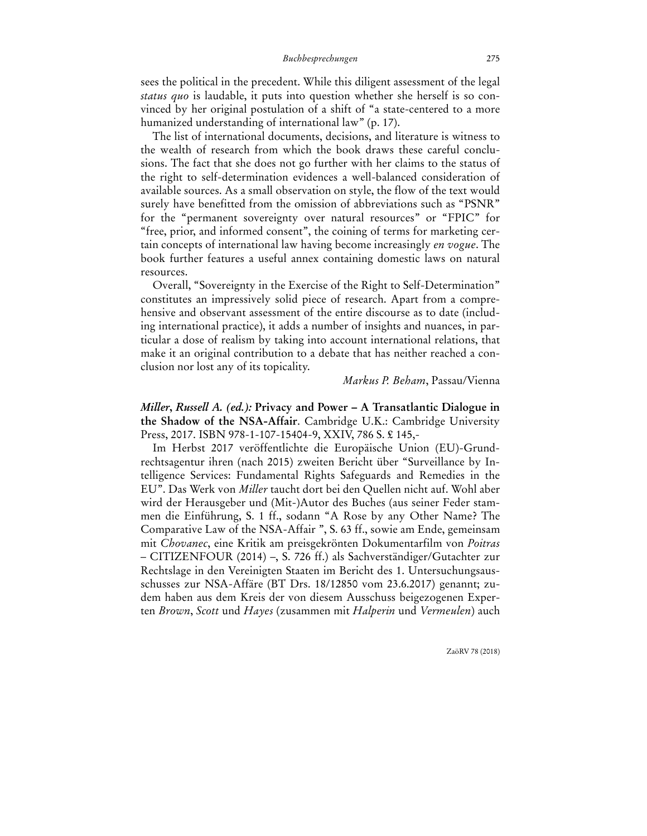sees the political in the precedent. While this diligent assessment of the legal *status quo* is laudable, it puts into question whether she herself is so convinced by her original postulation of a shift of "a state-centered to a more humanized understanding of international law" (p. 17).

The list of international documents, decisions, and literature is witness to the wealth of research from which the book draws these careful conclusions. The fact that she does not go further with her claims to the status of the right to self-determination evidences a well-balanced consideration of available sources. As a small observation on style, the flow of the text would surely have benefitted from the omission of abbreviations such as "PSNR" for the "permanent sovereignty over natural resources" or "FPIC" for "free, prior, and informed consent", the coining of terms for marketing certain concepts of international law having become increasingly *en vogue*. The book further features a useful annex containing domestic laws on natural resources.

Overall, "Sovereignty in the Exercise of the Right to Self-Determination" constitutes an impressively solid piece of research. Apart from a comprehensive and observant assessment of the entire discourse as to date (including international practice), it adds a number of insights and nuances, in particular a dose of realism by taking into account international relations, that make it an original contribution to a debate that has neither reached a conclusion nor lost any of its topicality.

## *Markus P. Beham*, Passau/Vienna

*Miller***,** *Russell A. (ed.):* **Privacy and Power – A Transatlantic Dialogue in the Shadow of the NSA-Affair**. Cambridge U.K.: Cambridge University Press, 2017. ISBN 978-1-107-15404-9, XXIV, 786 S. £ 145,-

Im Herbst 2017 veröffentlichte die Europäische Union (EU)-Grundrechtsagentur ihren (nach 2015) zweiten Bericht über "Surveillance by Intelligence Services: Fundamental Rights Safeguards and Remedies in the EU". Das Werk von *Miller* taucht dort bei den Quellen nicht auf. Wohl aber wird der Herausgeber und (Mit-)Autor des Buches (aus seiner Feder stammen die Einführung, S. 1 ff., sodann "A Rose by any Other Name? The Comparative Law of the NSA-Affair ", S. 63 ff., sowie am Ende, gemeinsam mit *Chovanec*, eine Kritik am preisgekrönten Dokumentarfilm von *Poitras* – CITIZENFOUR (2014) –, S. 726 ff.) als Sachverständiger/Gutachter zur Rechtslage in den Vereinigten Staaten im Bericht des 1. Untersuchungsausschusses zur NSA-Affäre (BT Drs. 18/12850 vom 23.6.2017) genannt; zudem haben aus dem Kreis der von diesem Ausschuss beigezogenen Experten *Brown*, *Scott* und *Hayes* (zusammen mit *Halperin* und *Vermeulen*) auch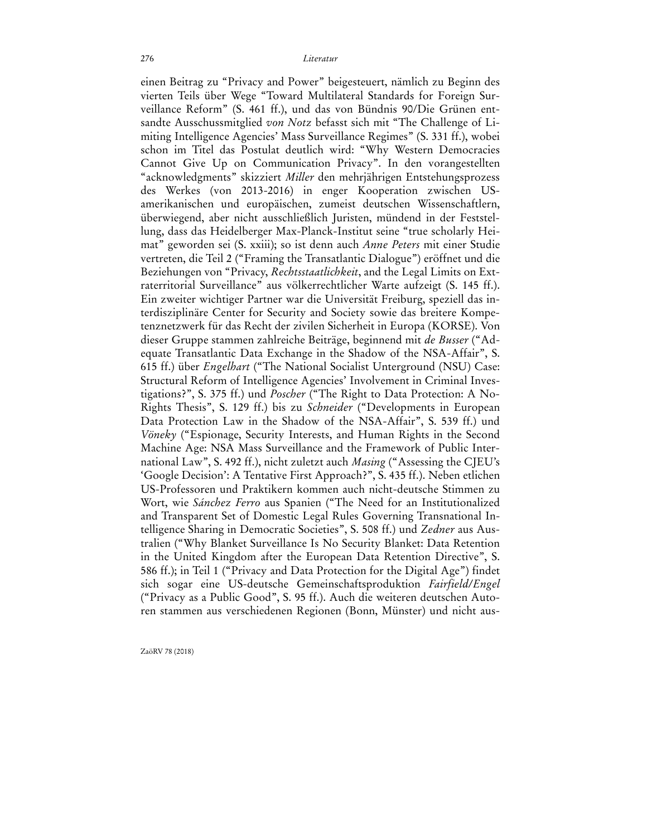einen Beitrag zu "Privacy and Power" beigesteuert, nämlich zu Beginn des vierten Teils über Wege "Toward Multilateral Standards for Foreign Surveillance Reform" (S. 461 ff.), und das von Bündnis 90/Die Grünen entsandte Ausschussmitglied *von Notz* befasst sich mit "The Challenge of Limiting Intelligence Agencies' Mass Surveillance Regimes" (S. 331 ff.), wobei schon im Titel das Postulat deutlich wird: "Why Western Democracies Cannot Give Up on Communication Privacy". In den vorangestellten "acknowledgments" skizziert *Miller* den mehrjährigen Entstehungsprozess des Werkes (von 2013-2016) in enger Kooperation zwischen USamerikanischen und europäischen, zumeist deutschen Wissenschaftlern, überwiegend, aber nicht ausschließlich Juristen, mündend in der Feststellung, dass das Heidelberger Max-Planck-Institut seine "true scholarly Heimat" geworden sei (S. xxiii); so ist denn auch *Anne Peters* mit einer Studie vertreten, die Teil 2 ("Framing the Transatlantic Dialogue") eröffnet und die Beziehungen von "Privacy, *Rechtsstaatlichkeit*, and the Legal Limits on Extraterritorial Surveillance" aus völkerrechtlicher Warte aufzeigt (S. 145 ff.). Ein zweiter wichtiger Partner war die Universität Freiburg, speziell das interdisziplinäre Center for Security and Society sowie das breitere Kompetenznetzwerk für das Recht der zivilen Sicherheit in Europa (KORSE). Von dieser Gruppe stammen zahlreiche Beiträge, beginnend mit *de Busser* ("Adequate Transatlantic Data Exchange in the Shadow of the NSA-Affair", S. 615 ff.) über *Engelhart* ("The National Socialist Unterground (NSU) Case: Structural Reform of Intelligence Agencies' Involvement in Criminal Investigations?", S. 375 ff.) und *Poscher* ("The Right to Data Protection: A No-Rights Thesis", S. 129 ff.) bis zu *Schneider* ("Developments in European Data Protection Law in the Shadow of the NSA-Affair", S. 539 ff.) und *Vöneky* ("Espionage, Security Interests, and Human Rights in the Second Machine Age: NSA Mass Surveillance and the Framework of Public International Law", S. 492 ff.), nicht zuletzt auch *Masing* ("Assessing the CJEU's 'Google Decision': A Tentative First Approach?", S. 435 ff.). Neben etlichen US-Professoren und Praktikern kommen auch nicht-deutsche Stimmen zu Wort, wie *Sánchez Ferro* aus Spanien ("The Need for an Institutionalized and Transparent Set of Domestic Legal Rules Governing Transnational Intelligence Sharing in Democratic Societies", S. 508 ff.) und *Zedner* aus Australien ("Why Blanket Surveillance Is No Security Blanket: Data Retention in the United Kingdom after the European Data Retention Directive", S. 586 ff.); in Teil 1 ("Privacy and Data Protection for the Digital Age") findet sich sogar eine US-deutsche Gemeinschaftsproduktion *Fairfield/Engel* ("Privacy as a Public Good", S. 95 ff.). Auch die weiteren deutschen Autoren stammen aus verschiedenen Regionen (Bonn, Münster) und nicht aus-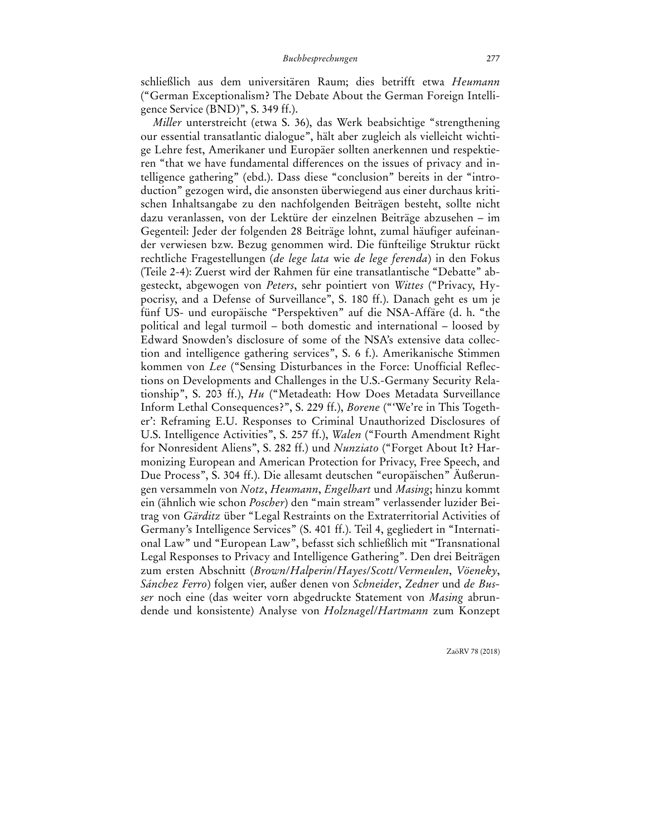schließlich aus dem universitären Raum; dies betrifft etwa *Heumann* ("German Exceptionalism? The Debate About the German Foreign Intelligence Service (BND)", S. 349 ff.).

*Miller* unterstreicht (etwa S. 36), das Werk beabsichtige "strengthening our essential transatlantic dialogue", hält aber zugleich als vielleicht wichtige Lehre fest, Amerikaner und Europäer sollten anerkennen und respektieren "that we have fundamental differences on the issues of privacy and intelligence gathering" (ebd.). Dass diese "conclusion" bereits in der "introduction" gezogen wird, die ansonsten überwiegend aus einer durchaus kritischen Inhaltsangabe zu den nachfolgenden Beiträgen besteht, sollte nicht dazu veranlassen, von der Lektüre der einzelnen Beiträge abzusehen – im Gegenteil: Jeder der folgenden 28 Beiträge lohnt, zumal häufiger aufeinander verwiesen bzw. Bezug genommen wird. Die fünfteilige Struktur rückt rechtliche Fragestellungen (*de lege lata* wie *de lege ferenda*) in den Fokus (Teile 2-4): Zuerst wird der Rahmen für eine transatlantische "Debatte" abgesteckt, abgewogen von *Peters*, sehr pointiert von *Wittes* ("Privacy, Hypocrisy, and a Defense of Surveillance", S. 180 ff.). Danach geht es um je fünf US- und europäische "Perspektiven" auf die NSA-Affäre (d. h. "the political and legal turmoil – both domestic and international – loosed by Edward Snowden's disclosure of some of the NSA's extensive data collection and intelligence gathering services", S. 6 f.). Amerikanische Stimmen kommen von *Lee* ("Sensing Disturbances in the Force: Unofficial Reflections on Developments and Challenges in the U.S.-Germany Security Relationship", S. 203 ff.), *Hu* ("Metadeath: How Does Metadata Surveillance Inform Lethal Consequences?", S. 229 ff.), *Borene* ("'We're in This Together': Reframing E.U. Responses to Criminal Unauthorized Disclosures of U.S. Intelligence Activities", S. 257 ff.), *Walen* ("Fourth Amendment Right for Nonresident Aliens", S. 282 ff.) und *Nunziato* ("Forget About It? Harmonizing European and American Protection for Privacy, Free Speech, and Due Process", S. 304 ff.). Die allesamt deutschen "europäischen" Äußerungen versammeln von *Notz*, *Heumann*, *Engelhart* und *Masing*; hinzu kommt ein (ähnlich wie schon *Poscher*) den "main stream" verlassender luzider Beitrag von *Gärditz* über "Legal Restraints on the Extraterritorial Activities of Germany's Intelligence Services" (S. 401 ff.). Teil 4, gegliedert in "International Law" und "European Law", befasst sich schließlich mit "Transnational Legal Responses to Privacy and Intelligence Gathering". Den drei Beiträgen zum ersten Abschnitt (*Brown*/*Halperin*/*Hayes*/*Scott*/*Vermeulen*, *Vöeneky*, *Sánchez Ferro*) folgen vier, außer denen von *Schneider*, *Zedner* und *de Busser* noch eine (das weiter vorn abgedruckte Statement von *Masing* abrundende und konsistente) Analyse von *Holznagel*/*Hartmann* zum Konzept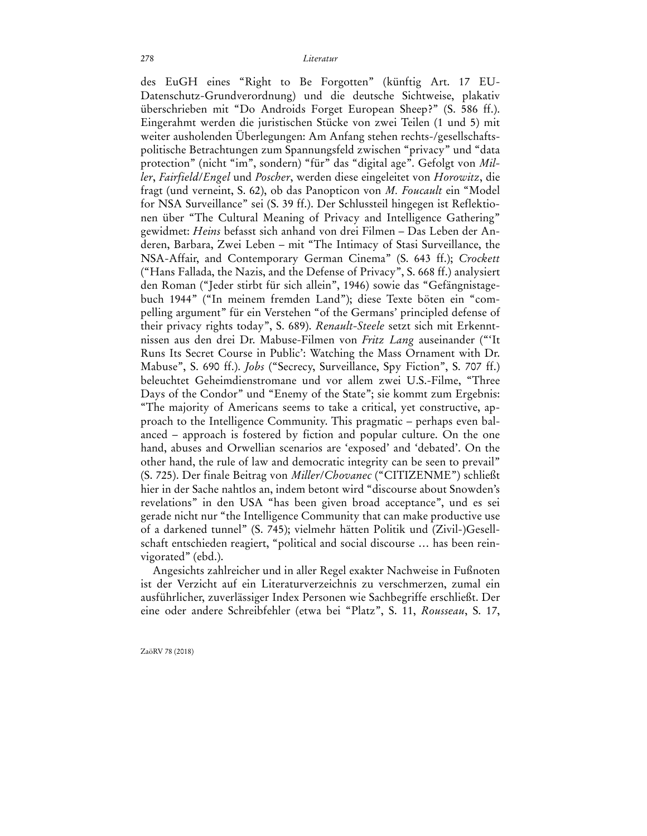des EuGH eines "Right to Be Forgotten" (künftig Art. 17 EU-Datenschutz-Grundverordnung) und die deutsche Sichtweise, plakativ überschrieben mit "Do Androids Forget European Sheep?" (S. 586 ff.). Eingerahmt werden die juristischen Stücke von zwei Teilen (1 und 5) mit weiter ausholenden Überlegungen: Am Anfang stehen rechts-/gesellschaftspolitische Betrachtungen zum Spannungsfeld zwischen "privacy" und "data protection" (nicht "im", sondern) "für" das "digital age". Gefolgt von *Miller*, *Fairfield*/*Engel* und *Poscher*, werden diese eingeleitet von *Horowitz*, die fragt (und verneint, S. 62), ob das Panopticon von *M. Foucault* ein "Model for NSA Surveillance" sei (S. 39 ff.). Der Schlussteil hingegen ist Reflektionen über "The Cultural Meaning of Privacy and Intelligence Gathering" gewidmet: *Heins* befasst sich anhand von drei Filmen – Das Leben der Anderen, Barbara, Zwei Leben – mit "The Intimacy of Stasi Surveillance, the NSA-Affair, and Contemporary German Cinema" (S. 643 ff.); *Crockett* ("Hans Fallada, the Nazis, and the Defense of Privacy", S. 668 ff.) analysiert den Roman ("Jeder stirbt für sich allein", 1946) sowie das "Gefängnistagebuch 1944" ("In meinem fremden Land"); diese Texte böten ein "compelling argument" für ein Verstehen "of the Germans' principled defense of their privacy rights today", S. 689). *Renault-Steele* setzt sich mit Erkenntnissen aus den drei Dr. Mabuse-Filmen von *Fritz Lang* auseinander ("'It Runs Its Secret Course in Public': Watching the Mass Ornament with Dr. Mabuse", S. 690 ff.). *Jobs* ("Secrecy, Surveillance, Spy Fiction", S. 707 ff.) beleuchtet Geheimdienstromane und vor allem zwei U.S.-Filme, "Three Days of the Condor" und "Enemy of the State"; sie kommt zum Ergebnis: "The majority of Americans seems to take a critical, yet constructive, approach to the Intelligence Community. This pragmatic – perhaps even balanced – approach is fostered by fiction and popular culture. On the one hand, abuses and Orwellian scenarios are 'exposed' and 'debated'. On the other hand, the rule of law and democratic integrity can be seen to prevail" (S. 725). Der finale Beitrag von *Miller*/*Chovanec* ("CITIZENME") schließt hier in der Sache nahtlos an, indem betont wird "discourse about Snowden's revelations" in den USA "has been given broad acceptance", und es sei gerade nicht nur "the Intelligence Community that can make productive use of a darkened tunnel" (S. 745); vielmehr hätten Politik und (Zivil-)Gesellschaft entschieden reagiert, "political and social discourse … has been reinvigorated" (ebd.).

Angesichts zahlreicher und in aller Regel exakter Nachweise in Fußnoten ist der Verzicht auf ein Literaturverzeichnis zu verschmerzen, zumal ein ausführlicher, zuverlässiger Index Personen wie Sachbegriffe erschließt. Der eine oder andere Schreibfehler (etwa bei "Platz", S. 11, *Rousseau*, S. 17,